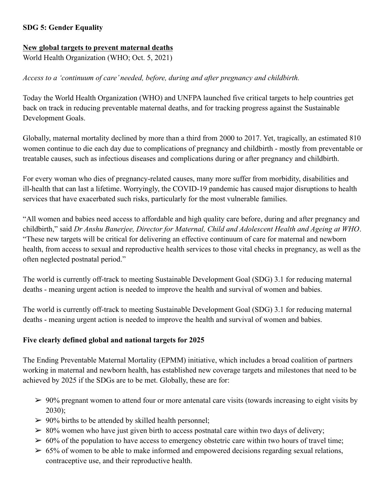## **SDG 5: Gender Equality**

#### **New global targets to prevent maternal deaths**

World Health Organization (WHO; Oct. 5, 2021)

### *Access to a 'continuum of care' needed, before, during and after pregnancy and childbirth.*

Today the World Health Organization (WHO) and UNFPA launched five critical targets to help countries get back on track in reducing preventable maternal deaths, and for tracking progress against the Sustainable Development Goals.

Globally, maternal mortality declined by more than a third from 2000 to 2017. Yet, tragically, an estimated 810 women continue to die each day due to complications of pregnancy and childbirth - mostly from preventable or treatable causes, such as infectious diseases and complications during or after pregnancy and childbirth.

For every woman who dies of pregnancy-related causes, many more suffer from morbidity, disabilities and ill-health that can last a lifetime. Worryingly, the COVID-19 pandemic has caused major disruptions to health services that have exacerbated such risks, particularly for the most vulnerable families.

"All women and babies need access to affordable and high quality care before, during and after pregnancy and childbirth," said *Dr Anshu Banerjee, Director for Maternal, Child and Adolescent Health and Ageing at WHO*. "These new targets will be critical for delivering an effective continuum of care for maternal and newborn health, from access to sexual and reproductive health services to those vital checks in pregnancy, as well as the often neglected postnatal period."

The world is currently off-track to meeting Sustainable Development Goal (SDG) 3.1 for reducing maternal deaths - meaning urgent action is needed to improve the health and survival of women and babies.

The world is currently off-track to meeting Sustainable Development Goal (SDG) 3.1 for reducing maternal deaths - meaning urgent action is needed to improve the health and survival of women and babies.

### **Five clearly defined global and national targets for 2025**

The Ending Preventable Maternal Mortality (EPMM) initiative, which includes a broad coalition of partners working in maternal and newborn health, has established new coverage targets and milestones that need to be achieved by 2025 if the SDGs are to be met. Globally, these are for:

- $\geq 90\%$  pregnant women to attend four or more antenatal care visits (towards increasing to eight visits by 2030);
- $> 90\%$  births to be attended by skilled health personnel;
- $\geq 80\%$  women who have just given birth to access postnatal care within two days of delivery;
- $\geq 60\%$  of the population to have access to emergency obstetric care within two hours of travel time;
- $\geq 65\%$  of women to be able to make informed and empowered decisions regarding sexual relations, contraceptive use, and their reproductive health.